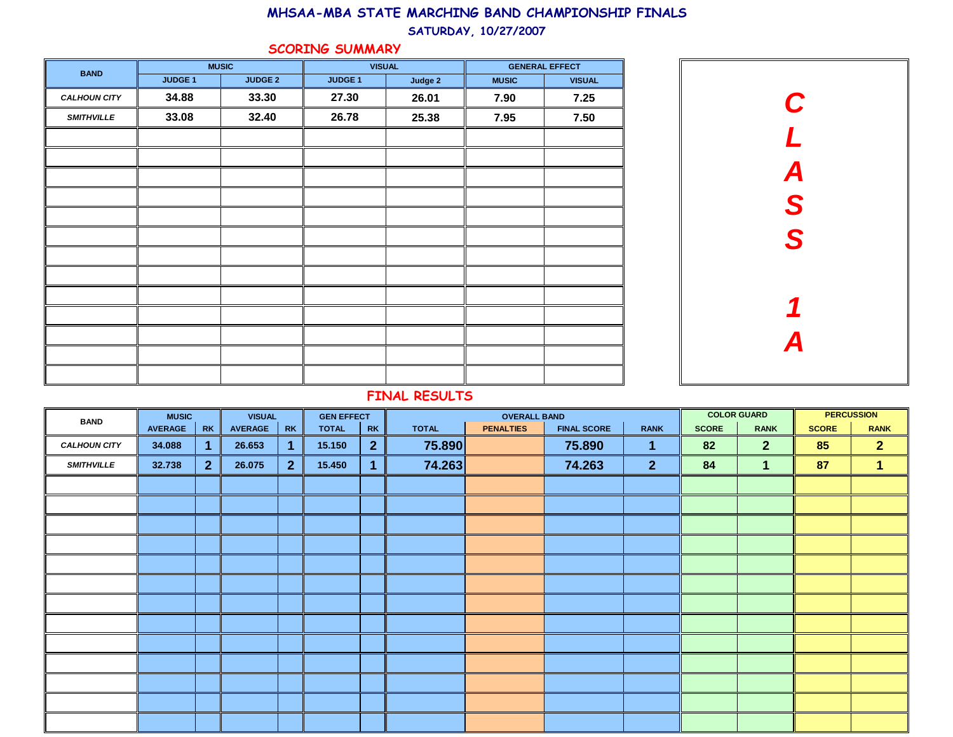#### SATURDAY, 10/27/2007

### SCORING SUMMARY

| <b>BAND</b>         |                | <b>MUSIC</b>   |                    | <b>VISUAL</b> |              | <b>GENERAL EFFECT</b> |
|---------------------|----------------|----------------|--------------------|---------------|--------------|-----------------------|
|                     | <b>JUDGE 1</b> | <b>JUDGE 2</b> | JUDGE <sub>1</sub> | Judge 2       | <b>MUSIC</b> | <b>VISUAL</b>         |
| <b>CALHOUN CITY</b> | 34.88          | 33.30          | 27.30              | 26.01         | 7.90         | 7.25                  |
| <b>SMITHVILLE</b>   | 33.08          | 32.40          | 26.78              | 25.38         | 7.95         | 7.50                  |
|                     |                |                |                    |               |              |                       |
|                     |                |                |                    |               |              |                       |
|                     |                |                |                    |               |              |                       |
|                     |                |                |                    |               |              |                       |
|                     |                |                |                    |               |              |                       |
|                     |                |                |                    |               |              |                       |
|                     |                |                |                    |               |              |                       |
|                     |                |                |                    |               |              |                       |
|                     |                |                |                    |               |              |                       |
|                     |                |                |                    |               |              |                       |
|                     |                |                |                    |               |              |                       |
|                     |                |                |                    |               |              |                       |
|                     |                |                |                    |               |              |                       |



| <b>BAND</b>         | <b>MUSIC</b>   |              | <b>VISUAL</b>  |                | <b>GEN EFFECT</b> |                | <b>OVERALL BAND</b> |                  |                    |                | <b>COLOR GUARD</b> | <b>PERCUSSION</b> |              |                |
|---------------------|----------------|--------------|----------------|----------------|-------------------|----------------|---------------------|------------------|--------------------|----------------|--------------------|-------------------|--------------|----------------|
|                     | <b>AVERAGE</b> | <b>RK</b>    | <b>AVERAGE</b> | <b>RK</b>      | <b>TOTAL</b>      | <b>RK</b>      | <b>TOTAL</b>        | <b>PENALTIES</b> | <b>FINAL SCORE</b> | <b>RANK</b>    | <b>SCORE</b>       | <b>RANK</b>       | <b>SCORE</b> | <b>RANK</b>    |
| <b>CALHOUN CITY</b> | 34.088         | 1.           | 26.653         | 1              | 15.150            | $\overline{2}$ | 75.890              |                  | 75.890             | 1.             | 82                 | 2 <sup>1</sup>    | 85           | $\overline{2}$ |
| <b>SMITHVILLE</b>   | 32.738         | $\mathbf{2}$ | 26.075         | 2 <sup>2</sup> | 15.450            | $\overline{1}$ | 74.263              |                  | 74.263             | 2 <sup>1</sup> | 84                 | $\blacksquare$    | 87           | 1              |
|                     |                |              |                |                |                   |                |                     |                  |                    |                |                    |                   |              |                |
|                     |                |              |                |                |                   |                |                     |                  |                    |                |                    |                   |              |                |
|                     |                |              |                |                |                   |                |                     |                  |                    |                |                    |                   |              |                |
|                     |                |              |                |                |                   |                |                     |                  |                    |                |                    |                   |              |                |
|                     |                |              |                |                |                   |                |                     |                  |                    |                |                    |                   |              |                |
|                     |                |              |                |                |                   |                |                     |                  |                    |                |                    |                   |              |                |
|                     |                |              |                |                |                   |                |                     |                  |                    |                |                    |                   |              |                |
|                     |                |              |                |                |                   |                |                     |                  |                    |                |                    |                   |              |                |
|                     |                |              |                |                |                   |                |                     |                  |                    |                |                    |                   |              |                |
|                     |                |              |                |                |                   |                |                     |                  |                    |                |                    |                   |              |                |
|                     |                |              |                |                |                   |                |                     |                  |                    |                |                    |                   |              |                |
|                     |                |              |                |                |                   |                |                     |                  |                    |                |                    |                   |              |                |
|                     |                |              |                |                |                   |                |                     |                  |                    |                |                    |                   |              |                |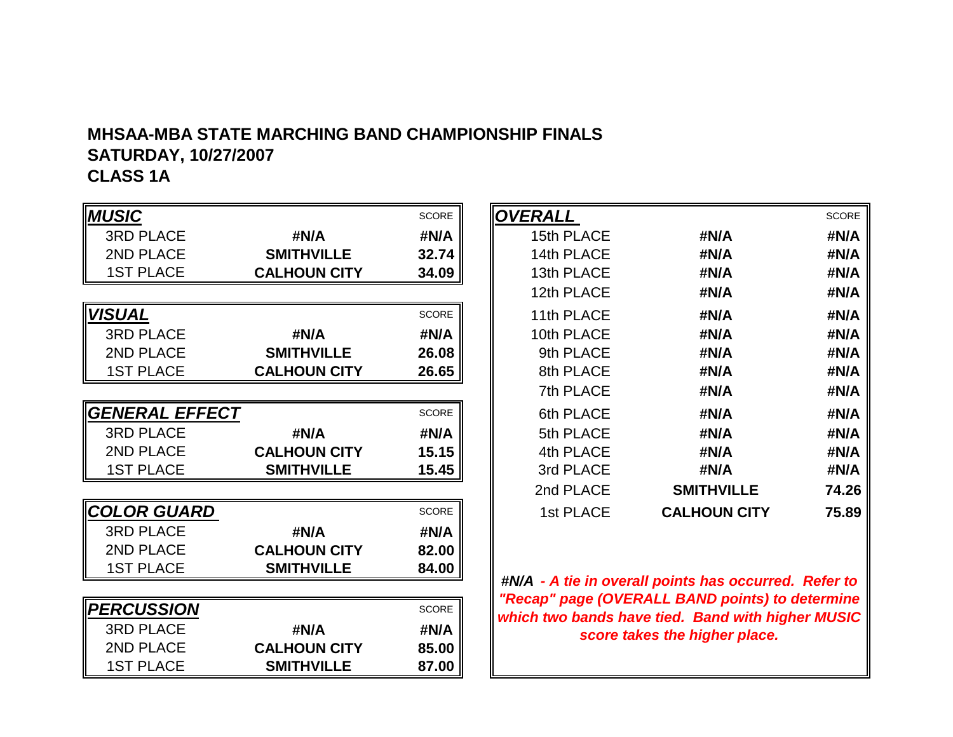# **MHSAA-MBA STATE MARCHING BAND CHAMPIONSHIP FINALSSATURDAY, 10/27/2007**

# **CLASS 1A**

| <b>MUSIC</b>          |                     | <b>SCORE</b> | <b>OVERALL</b> |                                                                                                          | <b>SCORE</b> |
|-----------------------|---------------------|--------------|----------------|----------------------------------------------------------------------------------------------------------|--------------|
| <b>3RD PLACE</b>      | #N/A                | #N/A         | 15th PLACE     | #N/A                                                                                                     | #N/A         |
| 2ND PLACE             | <b>SMITHVILLE</b>   | 32.74        | 14th PLACE     | #N/A                                                                                                     | #N/A         |
| <b>1ST PLACE</b>      | <b>CALHOUN CITY</b> | 34.09        | 13th PLACE     | #N/A                                                                                                     | #N/A         |
|                       |                     |              | 12th PLACE     | #N/A                                                                                                     | #N/A         |
| <b>VISUAL</b>         |                     | SCORE        | 11th PLACE     | #N/A                                                                                                     | #N/A         |
| <b>3RD PLACE</b>      | #N/A                | #N/A         | 10th PLACE     | #N/A                                                                                                     | #N/A         |
| 2ND PLACE             | <b>SMITHVILLE</b>   | 26.08        | 9th PLACE      | #N/A                                                                                                     | #N/A         |
| <b>1ST PLACE</b>      | <b>CALHOUN CITY</b> | 26.65        | 8th PLACE      | #N/A                                                                                                     | #N/A         |
|                       |                     |              | 7th PLACE      | #N/A                                                                                                     | #N/A         |
| <b>GENERAL EFFECT</b> |                     | SCORE        | 6th PLACE      | #N/A                                                                                                     | #N/A         |
| <b>3RD PLACE</b>      | #N/A                | #N/A         | 5th PLACE      | #N/A                                                                                                     | #N/A         |
| 2ND PLACE             | <b>CALHOUN CITY</b> | 15.15        | 4th PLACE      | #N/A                                                                                                     | #N/A         |
| <b>1ST PLACE</b>      | <b>SMITHVILLE</b>   | 15.45        | 3rd PLACE      | #N/A                                                                                                     | #N/A         |
|                       |                     |              | 2nd PLACE      | <b>SMITHVILLE</b>                                                                                        | 74.26        |
| <b>COLOR GUARD</b>    |                     | <b>SCORE</b> | 1st PLACE      | <b>CALHOUN CITY</b>                                                                                      | 75.89        |
| <b>3RD PLACE</b>      | #N/A                | #N/A         |                |                                                                                                          |              |
| 2ND PLACE             | <b>CALHOUN CITY</b> | 82.00        |                |                                                                                                          |              |
| <b>1ST PLACE</b>      | <b>SMITHVILLE</b>   | 84.00        |                |                                                                                                          |              |
|                       |                     |              |                | #N/A - A tie in overall points has occurred. Refer to<br>"Recap" page (OVERALL BAND points) to determine |              |
| <b>PERCUSSION</b>     |                     | SCORE        |                | which two bands have tied. Band with higher MUSIC                                                        |              |
| <b>3RD PLACE</b>      | #N/A                | #N/A         |                | score takes the higher place.                                                                            |              |
| 2ND PLACE             | <b>CALHOUN CITY</b> | 85.00        |                |                                                                                                          |              |
| <b>1ST PLACE</b>      | <b>SMITHVILLE</b>   | 87.00        |                |                                                                                                          |              |

|                     | <b>SCORE</b> | <b>OVERALL</b> |                     | <b>SCORE</b> |
|---------------------|--------------|----------------|---------------------|--------------|
| #N/A                | #N/A         | 15th PLACE     | #N/A                | #N/A         |
| <b>SMITHVILLE</b>   | 32.74        | 14th PLACE     | #N/A                | #N/A         |
| <b>CALHOUN CITY</b> | 34.09        | 13th PLACE     | #N/A                | #N/A         |
|                     |              | 12th PLACE     | #N/A                | #N/A         |
|                     | <b>SCORE</b> | 11th PLACE     | #N/A                | #N/A         |
| #N/A                | #N/A         | 10th PLACE     | #N/A                | #N/A         |
| <b>SMITHVILLE</b>   | 26.08        | 9th PLACE      | #N/A                | #N/A         |
| <b>CALHOUN CITY</b> | 26.65        | 8th PLACE      | #N/A                | #N/A         |
|                     |              | 7th PLACE      | #N/A                | #N/A         |
|                     | <b>SCORE</b> | 6th PLACE      | #N/A                | #N/A         |
| #N/A                | #N/A         | 5th PLACE      | #N/A                | #N/A         |
| <b>CALHOUN CITY</b> | 15.15        | 4th PLACE      | #N/A                | #N/A         |
| <b>SMITHVILLE</b>   | 15.45        | 3rd PLACE      | #N/A                | #N/A         |
|                     |              | 2nd PLACE      | <b>SMITHVILLE</b>   | 74.26        |
|                     | <b>SCORE</b> | 1st PLACE      | <b>CALHOUN CITY</b> | 75.89        |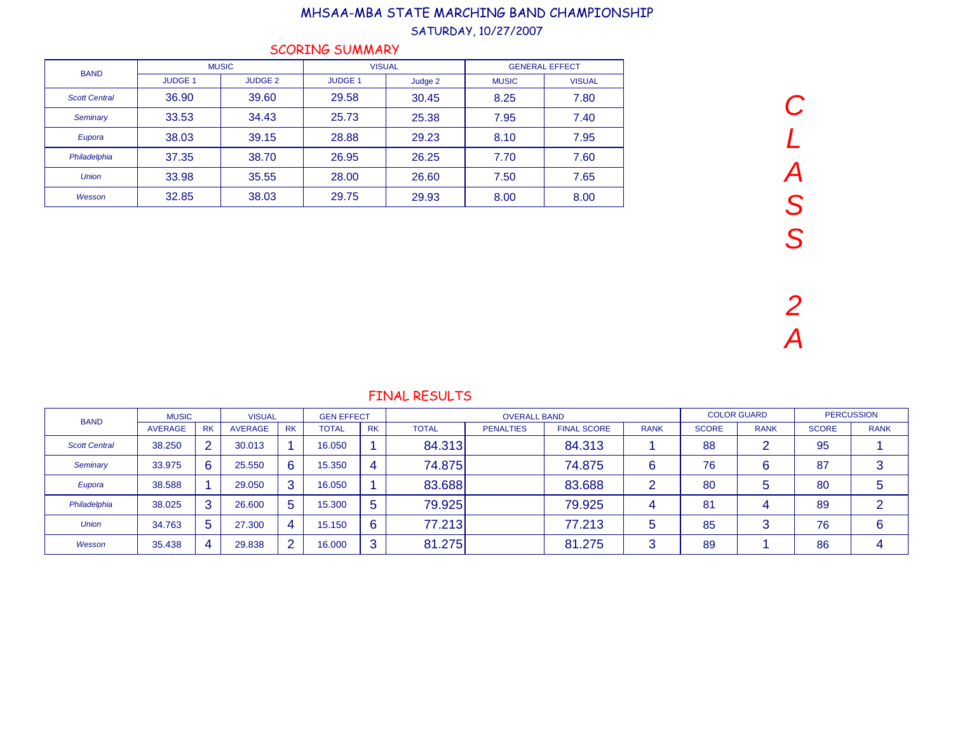#### SATURDAY, 10/27/2007

| <b>BAND</b>          |                | <b>MUSIC</b>   | <b>VISUAL</b>  |         |              | <b>GENERAL EFFECT</b> |
|----------------------|----------------|----------------|----------------|---------|--------------|-----------------------|
|                      | <b>JUDGE 1</b> | <b>JUDGE 2</b> | <b>JUDGE 1</b> | Judge 2 | <b>MUSIC</b> | <b>VISUAL</b>         |
| <b>Scott Central</b> | 36.90          | 39.60          | 29.58          | 30.45   | 8.25         | 7.80                  |
| Seminary             | 33.53          | 34.43          | 25.73          | 25.38   | 7.95         | 7.40                  |
| Eupora               | 38.03          | 39.15          | 28.88          | 29.23   | 8.10         | 7.95                  |
| Philadelphia         | 37.35          | 38.70          | 26.95          | 26.25   | 7.70         | 7.60                  |
| <b>Union</b>         | 33.98          | 35.55          | 28.00          | 26.60   | 7.50         | 7.65                  |
| Wesson               | 32.85          | 38.03          | 29.75          | 29.93   | 8.00         | 8.00                  |

### SCORING SUMMARY

| <b>BAND</b>          | <b>MUSIC</b>   |                | <b>VISUAL</b>  |           | <b>GEN EFFECT</b> |             |              | <b>OVERALL BAND</b> |                    |             | <b>COLOR GUARD</b> |             | <b>PERCUSSION</b> |             |
|----------------------|----------------|----------------|----------------|-----------|-------------------|-------------|--------------|---------------------|--------------------|-------------|--------------------|-------------|-------------------|-------------|
|                      | <b>AVERAGE</b> | <b>RK</b>      | <b>AVERAGE</b> | <b>RK</b> | <b>TOTAL</b>      | <b>RK</b>   | <b>TOTAL</b> | <b>PENALTIES</b>    | <b>FINAL SCORE</b> | <b>RANK</b> | <b>SCORE</b>       | <b>RANK</b> | <b>SCORE</b>      | <b>RANK</b> |
| <b>Scott Central</b> | 38.250         | $\overline{2}$ | 30.013         |           | 16.050            |             | 84.313       |                     | 84.313             |             | 88                 |             | 95                |             |
| Seminary             | 33.975         | 6              | 25.550         | 6         | 15.350            | 4           | 74.875       |                     | 74.875             | 6           | 76                 | 6           | 87                | 3           |
| Eupora               | 38.588         |                | 29.050         | 3         | 16.050            |             | 83.688       |                     | 83.688             | ົ           | 80                 |             | 80                | đ           |
| Philadelphia         | 38.025         | 3              | 26,600         | 5         | 15.300            | $\mathbf b$ | 79.925       |                     | 79.925             | 4           | 81                 |             | 89                | ົ           |
| <b>Union</b>         | 34.763         | 5              | 27.300         | 4         | 15.150            | 6           | 77.213       |                     | 77.213             | 5           | 85                 |             | 76                | 6           |
| Wesson               | 35.438         | 4              | 29.838         |           | 16.000            | ാ<br>-0     | 81.275       |                     | 81.275             | 3           | 89                 |             | 86                | △           |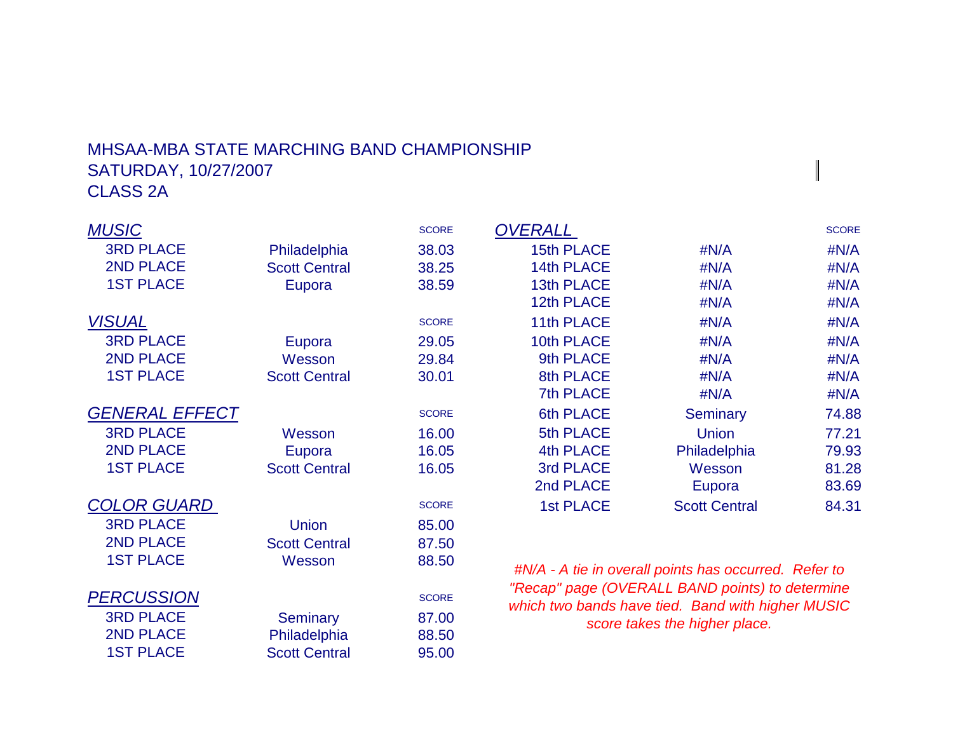# MHSAA-MBA STATE MARCHING BAND CHAMPIONSHIPSATURDAY, 10/27/2007CLASS 2A

| <b>MUSIC</b>          |                      | <b>SCORE</b> | <b>OVERALL</b>    |                                                       | <b>SCORE</b> |
|-----------------------|----------------------|--------------|-------------------|-------------------------------------------------------|--------------|
| <b>3RD PLACE</b>      | Philadelphia         | 38.03        | <b>15th PLACE</b> | #N/A                                                  | #N/A         |
| <b>2ND PLACE</b>      | <b>Scott Central</b> | 38.25        | 14th PLACE        | #N/A                                                  | #N/A         |
| <b>1ST PLACE</b>      | Eupora               | 38.59        | 13th PLACE        | #N/A                                                  | #N/A         |
|                       |                      |              | 12th PLACE        | #N/A                                                  | #N/A         |
| <b>VISUAL</b>         |                      | <b>SCORE</b> | 11th PLACE        | #N/A                                                  | #N/A         |
| <b>3RD PLACE</b>      | Eupora               | 29.05        | 10th PLACE        | #N/A                                                  | #N/A         |
| <b>2ND PLACE</b>      | Wesson               | 29.84        | 9th PLACE         | #N/A                                                  | #N/A         |
| <b>1ST PLACE</b>      | <b>Scott Central</b> | 30.01        | 8th PLACE         | #N/A                                                  | #N/A         |
|                       |                      |              | <b>7th PLACE</b>  | #N/A                                                  | #N/A         |
| <b>GENERAL EFFECT</b> |                      | <b>SCORE</b> | <b>6th PLACE</b>  | <b>Seminary</b>                                       | 74.88        |
| <b>3RD PLACE</b>      | Wesson               | 16.00        | 5th PLACE         | <b>Union</b>                                          | 77.21        |
| 2ND PLACE             | Eupora               | 16.05        | <b>4th PLACE</b>  | Philadelphia                                          | 79.93        |
| <b>1ST PLACE</b>      | <b>Scott Central</b> | 16.05        | 3rd PLACE         | Wesson                                                | 81.28        |
|                       |                      |              | 2nd PLACE         | Eupora                                                | 83.69        |
| <b>COLOR GUARD</b>    |                      | <b>SCORE</b> | <b>1st PLACE</b>  | <b>Scott Central</b>                                  | 84.31        |
| <b>3RD PLACE</b>      | <b>Union</b>         | 85.00        |                   |                                                       |              |
| <b>2ND PLACE</b>      | <b>Scott Central</b> | 87.50        |                   |                                                       |              |
| <b>1ST PLACE</b>      | Wesson               | 88.50        |                   | #N/A - A tie in overall points has occurred. Refer to |              |
|                       |                      |              |                   | "Recap" page (OVERALL BAND points) to determine       |              |
| <b>PERCUSSION</b>     |                      | <b>SCORE</b> |                   | which two bands have tied. Band with higher MUSIC     |              |
| <b>3RD PLACE</b>      | <b>Seminary</b>      | 87.00        |                   | score takes the higher place.                         |              |
| 2ND PLACE             | Philadelphia         | 88.50        |                   |                                                       |              |
| <b>1ST PLACE</b>      | <b>Scott Central</b> | 95.00        |                   |                                                       |              |

 $\begin{array}{c} \hline \end{array}$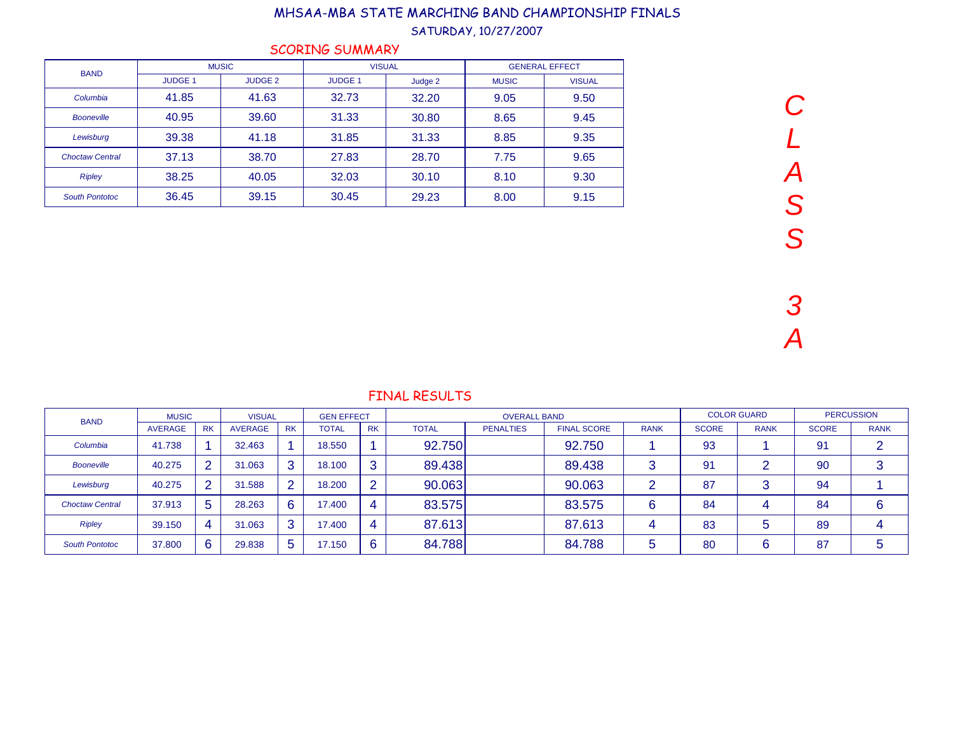### SATURDAY, 10/27/2007

|  |  | <b>SCORING SUMMARY</b> |
|--|--|------------------------|
|  |  |                        |

| <b>BAND</b>            |                | <b>MUSIC</b>   | <b>VISUAL</b> |         | <b>GENERAL EFFECT</b> |               |  |
|------------------------|----------------|----------------|---------------|---------|-----------------------|---------------|--|
|                        | <b>JUDGE 1</b> | <b>JUDGE 2</b> | <b>JUDGE1</b> | Judge 2 | <b>MUSIC</b>          | <b>VISUAL</b> |  |
| Columbia               | 41.85          | 41.63          | 32.73         | 32.20   | 9.05                  | 9.50          |  |
| <b>Booneville</b>      | 40.95          | 39.60          | 31.33         | 30.80   | 8.65                  | 9.45          |  |
| Lewisburg              | 39.38          | 41.18          | 31.85         | 31.33   | 8.85                  | 9.35          |  |
| <b>Choctaw Central</b> | 37.13          | 38.70          | 27.83         | 28.70   | 7.75                  | 9.65          |  |
| <b>Ripley</b>          | 38.25          | 40.05          | 32.03         | 30.10   | 8.10                  | 9.30          |  |
| <b>South Pontotoc</b>  | 36.45          | 39.15          | 30.45         | 29.23   | 8.00                  | 9.15          |  |

| <b>BAND</b>            | <b>MUSIC</b>   |                 | <b>VISUAL</b>  |           | <b>GEN EFFECT</b> |                |              | <b>OVERALL BAND</b> |                    |                 | <b>COLOR GUARD</b> |             | <b>PERCUSSION</b> |             |
|------------------------|----------------|-----------------|----------------|-----------|-------------------|----------------|--------------|---------------------|--------------------|-----------------|--------------------|-------------|-------------------|-------------|
|                        | <b>AVERAGE</b> | <b>RK</b>       | <b>AVERAGE</b> | <b>RK</b> | <b>TOTAL</b>      | <b>RK</b>      | <b>TOTAL</b> | <b>PENALTIES</b>    | <b>FINAL SCORE</b> | <b>RANK</b>     | <b>SCORE</b>       | <b>RANK</b> | <b>SCORE</b>      | <b>RANK</b> |
| Columbia               | 41.738         |                 | 32.463         |           | 18.550            |                | 92.750       |                     | 92.750             |                 | 93                 |             | 91                | ◠           |
| <b>Booneville</b>      | 40.275         | $\overline{2}$  | 31.063         |           | 18.100            | 3              | 89.438       |                     | 89.438             | $\sqrt{2}$<br>c | 91                 |             | 90                | 3           |
| Lewisburg              | 40.275         | $\overline{2}$  | 31.588         |           | 18.200            | $\overline{2}$ | 90.063       |                     | 90.063             | ⌒               | 87                 |             | 94                |             |
| <b>Choctaw Central</b> | 37.913         | $5\phantom{.0}$ | 28.263         | 6         | 17.400            | -4             | 83.575       |                     | 83.575             | 6               | 84                 |             | 84                | $\sim$<br>6 |
| <b>Ripley</b>          | 39.150         | 4               | 31.063         | 3         | 17.400            | -4             | 87.613       |                     | 87.613             | 4               | 83                 |             | 89                |             |
| <b>South Pontotoc</b>  | 37,800         | 6               | 29.838         | 5         | 17.150            | 6              | 84.788       |                     | 84.788             | 5               | 80                 |             | 87                |             |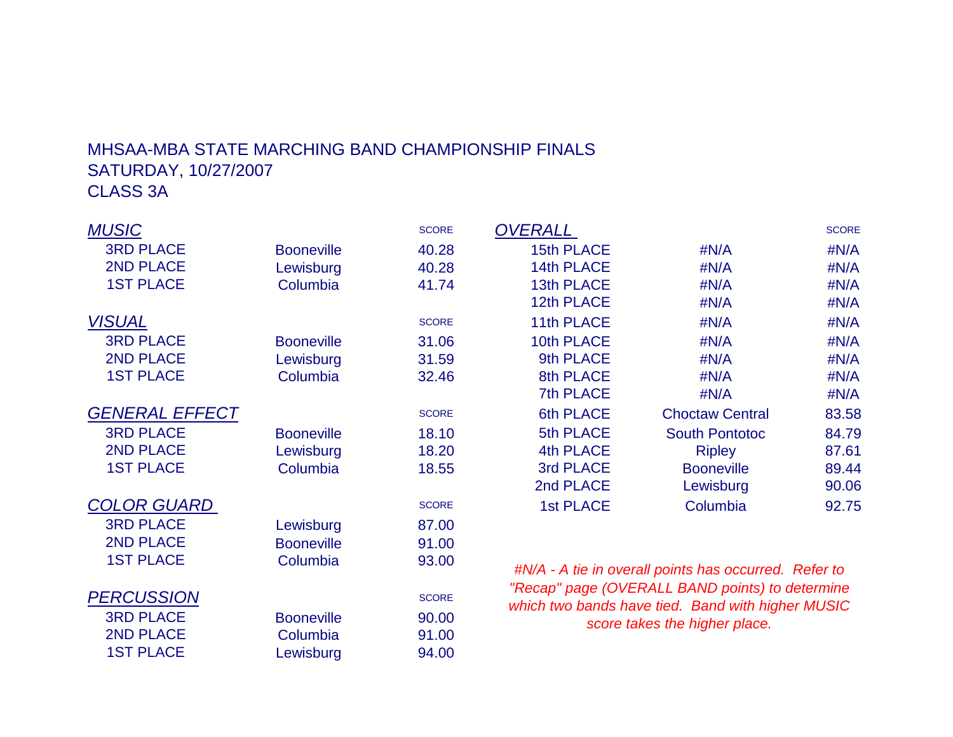# MHSAA-MBA STATE MARCHING BAND CHAMPIONSHIP FINALSSATURDAY, 10/27/2007CLASS 3A

| <b>MUSIC</b>          |                   | <b>SCORE</b> | <b>OVERALL</b>    |                                                       | <b>SCORE</b> |
|-----------------------|-------------------|--------------|-------------------|-------------------------------------------------------|--------------|
| <b>3RD PLACE</b>      | <b>Booneville</b> | 40.28        | <b>15th PLACE</b> | #N/A                                                  | #N/A         |
| <b>2ND PLACE</b>      | Lewisburg         | 40.28        | 14th PLACE        | #N/A                                                  | #N/A         |
| <b>1ST PLACE</b>      | Columbia          | 41.74        | 13th PLACE        | #N/A                                                  | #N/A         |
|                       |                   |              | 12th PLACE        | #N/A                                                  | #N/A         |
| <b>VISUAL</b>         |                   | <b>SCORE</b> | 11th PLACE        | #N/A                                                  | #N/A         |
| <b>3RD PLACE</b>      | <b>Booneville</b> | 31.06        | 10th PLACE        | #N/A                                                  | #N/A         |
| <b>2ND PLACE</b>      | Lewisburg         | 31.59        | 9th PLACE         | #N/A                                                  | #N/A         |
| <b>1ST PLACE</b>      | Columbia          | 32.46        | 8th PLACE         | #N/A                                                  | #N/A         |
|                       |                   |              | 7th PLACE         | #N/A                                                  | #N/A         |
| <b>GENERAL EFFECT</b> |                   | <b>SCORE</b> | 6th PLACE         | <b>Choctaw Central</b>                                | 83.58        |
| <b>3RD PLACE</b>      | <b>Booneville</b> | 18.10        | 5th PLACE         | <b>South Pontotoc</b>                                 | 84.79        |
| <b>2ND PLACE</b>      | Lewisburg         | 18.20        | 4th PLACE         | <b>Ripley</b>                                         | 87.61        |
| <b>1ST PLACE</b>      | Columbia          | 18.55        | 3rd PLACE         | <b>Booneville</b>                                     | 89.44        |
|                       |                   |              | 2nd PLACE         | Lewisburg                                             | 90.06        |
| <b>COLOR GUARD</b>    |                   | <b>SCORE</b> | <b>1st PLACE</b>  | Columbia                                              | 92.75        |
| <b>3RD PLACE</b>      | Lewisburg         | 87.00        |                   |                                                       |              |
| <b>2ND PLACE</b>      | <b>Booneville</b> | 91.00        |                   |                                                       |              |
| <b>1ST PLACE</b>      | Columbia          | 93.00        |                   | #N/A - A tie in overall points has occurred. Refer to |              |
|                       |                   |              |                   | "Recap" page (OVERALL BAND points) to determine       |              |
| <b>PERCUSSION</b>     |                   | <b>SCORE</b> |                   | which two bands have tied. Band with higher MUSIC     |              |
| <b>3RD PLACE</b>      | <b>Booneville</b> | 90.00        |                   | score takes the higher place.                         |              |
| <b>2ND PLACE</b>      | Columbia          | 91.00        |                   |                                                       |              |
| <b>1ST PLACE</b>      | Lewisburg         | 94.00        |                   |                                                       |              |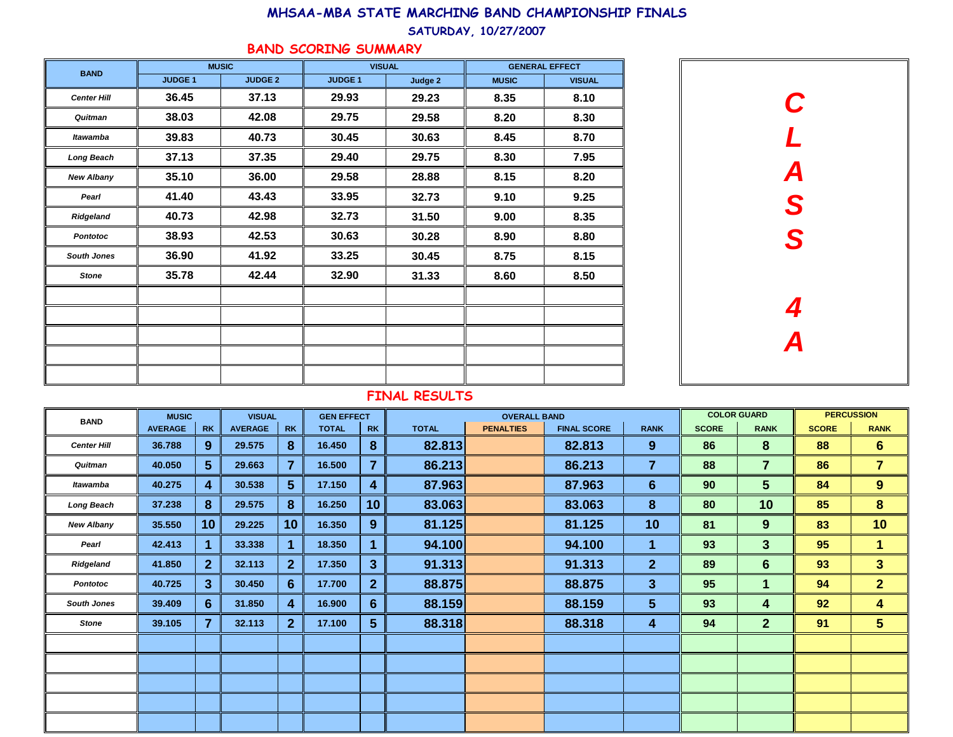#### SATURDAY, 10/27/2007

### BAND SCORING SUMMARY

| <b>BAND</b>        |               | <b>MUSIC</b>   | <b>VISUAL</b> |         |              | <b>GENERAL EFFECT</b> |
|--------------------|---------------|----------------|---------------|---------|--------------|-----------------------|
|                    | <b>JUDGE1</b> | <b>JUDGE 2</b> | <b>JUDGE1</b> | Judge 2 | <b>MUSIC</b> | <b>VISUAL</b>         |
| <b>Center Hill</b> | 36.45         | 37.13          | 29.93         | 29.23   | 8.35         | 8.10                  |
| Quitman            | 38.03         | 42.08          | 29.75         | 29.58   | 8.20         | 8.30                  |
| <b>Itawamba</b>    | 39.83         | 40.73          | 30.45         | 30.63   | 8.45         | 8.70                  |
| <b>Long Beach</b>  | 37.13         | 37.35          | 29.40         | 29.75   | 8.30         | 7.95                  |
| <b>New Albany</b>  | 35.10         | 36.00          | 29.58         | 28.88   | 8.15         | 8.20                  |
| Pearl              | 41.40         | 43.43          | 33.95         | 32.73   | 9.10         | 9.25                  |
| Ridgeland          | 40.73         | 42.98          | 32.73         | 31.50   | 9.00         | 8.35                  |
| <b>Pontotoc</b>    | 38.93         | 42.53          | 30.63         | 30.28   | 8.90         | 8.80                  |
| <b>South Jones</b> | 36.90         | 41.92          | 33.25         | 30.45   | 8.75         | 8.15                  |
| <b>Stone</b>       | 35.78         | 42.44          | 32.90         | 31.33   | 8.60         | 8.50                  |
|                    |               |                |               |         |              |                       |
|                    |               |                |               |         |              |                       |
|                    |               |                |               |         |              |                       |
|                    |               |                |               |         |              |                       |
|                    |               |                |               |         |              |                       |



| <b>BAND</b>        | <b>MUSIC</b>   |                | <b>VISUAL</b>  |                | <b>GEN EFFECT</b> |                |              | <b>OVERALL BAND</b> |                    |                |              | <b>COLOR GUARD</b> |              | <b>PERCUSSION</b> |  |
|--------------------|----------------|----------------|----------------|----------------|-------------------|----------------|--------------|---------------------|--------------------|----------------|--------------|--------------------|--------------|-------------------|--|
|                    | <b>AVERAGE</b> | <b>RK</b>      | <b>AVERAGE</b> | <b>RK</b>      | <b>TOTAL</b>      | <b>RK</b>      | <b>TOTAL</b> | <b>PENALTIES</b>    | <b>FINAL SCORE</b> | <b>RANK</b>    | <b>SCORE</b> | <b>RANK</b>        | <b>SCORE</b> | <b>RANK</b>       |  |
| <b>Center Hill</b> | 36.788         | 9              | 29.575         | 8              | 16.450            | 8              | 82.813       |                     | 82.813             | 9              | 86           | 8                  | 88           | 6 <sup>1</sup>    |  |
| Quitman            | 40.050         | 5 <sup>5</sup> | 29.663         | $\overline{7}$ | 16.500            | $\overline{7}$ | 86.213       |                     | 86.213             | 7              | 88           | $\overline{7}$     | 86           | $\overline{7}$    |  |
| Itawamba           | 40.275         | 4              | 30.538         | 5 <sup>5</sup> | 17.150            | 4              | 87.963       |                     | 87.963             | $6\phantom{1}$ | 90           | $5\phantom{.}$     | 84           | 9                 |  |
| <b>Long Beach</b>  | 37.238         | 8              | 29.575         | 8              | 16.250            | 10             | 83.063       |                     | 83.063             | 8              | 80           | 10                 | 85           | 8                 |  |
| <b>New Albany</b>  | 35.550         | 10             | 29.225         | 10             | 16.350            | 9              | 81.125       |                     | 81.125             | 10             | 81           | 9                  | 83           | 10                |  |
| Pearl              | 42.413         | 1              | 33.338         | 1              | 18.350            | 1              | 94.100       |                     | 94.100             | 1              | 93           | 3                  | 95           | 1                 |  |
| Ridgeland          | 41.850         | 2 <sup>1</sup> | 32.113         | $\overline{2}$ | 17.350            | 3 <sup>5</sup> | 91.313       |                     | 91.313             | $\overline{2}$ | 89           | $6\phantom{1}6$    | 93           | $3\phantom{a}$    |  |
| <b>Pontotoc</b>    | 40.725         | $\mathbf{3}$   | 30.450         | $6 \,$         | 17.700            | 2 <sup>2</sup> | 88.875       |                     | 88.875             | $\mathbf{3}$   | 95           | 1                  | 94           | $\overline{2}$    |  |
| <b>South Jones</b> | 39.409         | $6\phantom{1}$ | 31.850         | 4              | 16.900            | 6              | 88.159       |                     | 88.159             | $5\phantom{1}$ | 93           | 4                  | 92           | 4                 |  |
| <b>Stone</b>       | 39.105         | $\overline{7}$ | 32.113         | $\mathbf{2}$   | 17.100            | 5 <sup>5</sup> | 88.318       |                     | 88.318             | 4              | 94           | $\overline{2}$     | 91           | 5 <sup>5</sup>    |  |
|                    |                |                |                |                |                   |                |              |                     |                    |                |              |                    |              |                   |  |
|                    |                |                |                |                |                   |                |              |                     |                    |                |              |                    |              |                   |  |
|                    |                |                |                |                |                   |                |              |                     |                    |                |              |                    |              |                   |  |
|                    |                |                |                |                |                   |                |              |                     |                    |                |              |                    |              |                   |  |
|                    |                |                |                |                |                   |                |              |                     |                    |                |              |                    |              |                   |  |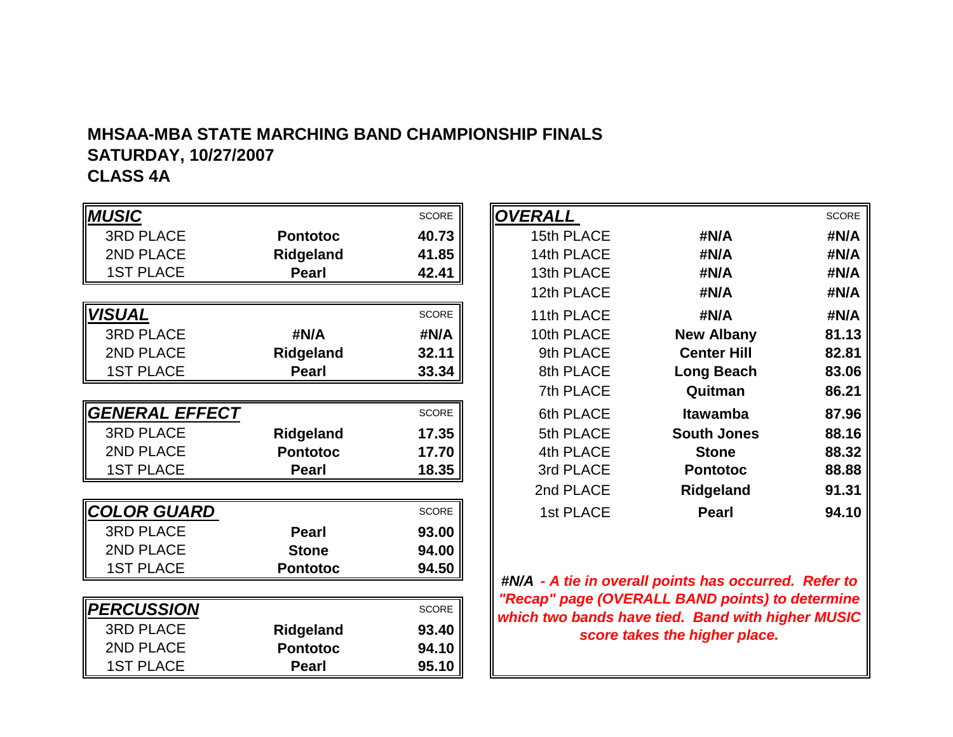# **MHSAA-MBA STATE MARCHING BAND CHAMPIONSHIP FINALSSATURDAY, 10/27/2007**

# **CLASS 4A**

| <b>MUSIC</b>       |                  | <b>SCORE</b> |
|--------------------|------------------|--------------|
| <b>3RD PLACE</b>   | <b>Pontotoc</b>  | 40.73        |
| 2ND PLACE          | Ridgeland        | 41.85        |
| <b>1ST PLACE</b>   | <b>Pearl</b>     | 42.41        |
|                    |                  |              |
| VISUAL             |                  | <b>SCORE</b> |
| <b>3RD PLACE</b>   | #N/A             | #N/A         |
| 2ND PLACE          | <b>Ridgeland</b> | 32.11        |
| <b>1ST PLACE</b>   | <b>Pearl</b>     | 33.34        |
|                    |                  |              |
| GENERAL EFFECT     |                  | <b>SCORE</b> |
| <b>3RD PLACE</b>   | Ridgeland        | 17.35        |
| 2ND PLACE          | <b>Pontotoc</b>  | 17.70        |
| <b>1ST PLACE</b>   | <b>Pearl</b>     | 18.35        |
|                    |                  |              |
| <u>COLOR GUARD</u> |                  | <b>SCORE</b> |
| <b>3RD PLACE</b>   | Pearl            | 93.00        |
| 2ND PLACE          | <b>Stone</b>     | 94.00        |
| <b>1ST PLACE</b>   | <b>Pontotoc</b>  | 94.50        |
|                    |                  |              |
| <b>PERCUSSION</b>  |                  | <b>SCORE</b> |
| <b>3RD PLACE</b>   | Ridgeland        | 93.40        |
| 2ND PLACE          | <b>Pontotoc</b>  | 94.10        |
| <b>1ST PLACE</b>   | Pearl            | 95.10        |

|                   |                 | SCORE        | <b>OVERALL</b> |                    | <b>SCORE</b> |
|-------------------|-----------------|--------------|----------------|--------------------|--------------|
| <b>PLACE</b>      | <b>Pontotoc</b> | 40.73        | 15th PLACE     | #N/A               | #N/A         |
| <b>PLACE</b>      | Ridgeland       | 41.85        | 14th PLACE     | #N/A               | #N/A         |
| <b>PLACE</b>      | Pearl           | 42.41        | 13th PLACE     | #N/A               | #N/A         |
|                   |                 |              | 12th PLACE     | #N/A               | #N/A         |
|                   |                 | <b>SCORE</b> | 11th PLACE     | #N/A               | #N/A         |
| <b>PLACE</b>      | #N/A            | #N/A         | 10th PLACE     | <b>New Albany</b>  | 81.13        |
| <b>PLACE</b>      | Ridgeland       | 32.11        | 9th PLACE      | <b>Center Hill</b> | 82.81        |
| PLACE             | Pearl           | 33.34        | 8th PLACE      | <b>Long Beach</b>  | 83.06        |
|                   |                 |              | 7th PLACE      | Quitman            | 86.21        |
| <b>RAL EFFECT</b> |                 | SCORE        | 6th PLACE      | <b>Itawamba</b>    | 87.96        |
| PLACE             | Ridgeland       | 17.35        | 5th PLACE      | <b>South Jones</b> | 88.16        |
| PLACE             | <b>Pontotoc</b> | 17.70        | 4th PLACE      | <b>Stone</b>       | 88.32        |
| PLACE             | Pearl           | 18.35        | 3rd PLACE      | <b>Pontotoc</b>    | 88.88        |
|                   |                 |              | 2nd PLACE      | <b>Ridgeland</b>   | 91.31        |
| R GUARD           |                 | SCORE        | 1st PLACE      | <b>Pearl</b>       | 94.10        |

**#N/A - A tie in overall points has occurred. Refer to "Recap" page (OVERALL BAND points) to determine which two bands have tied. Band with higher MUSIC score takes the higher place.**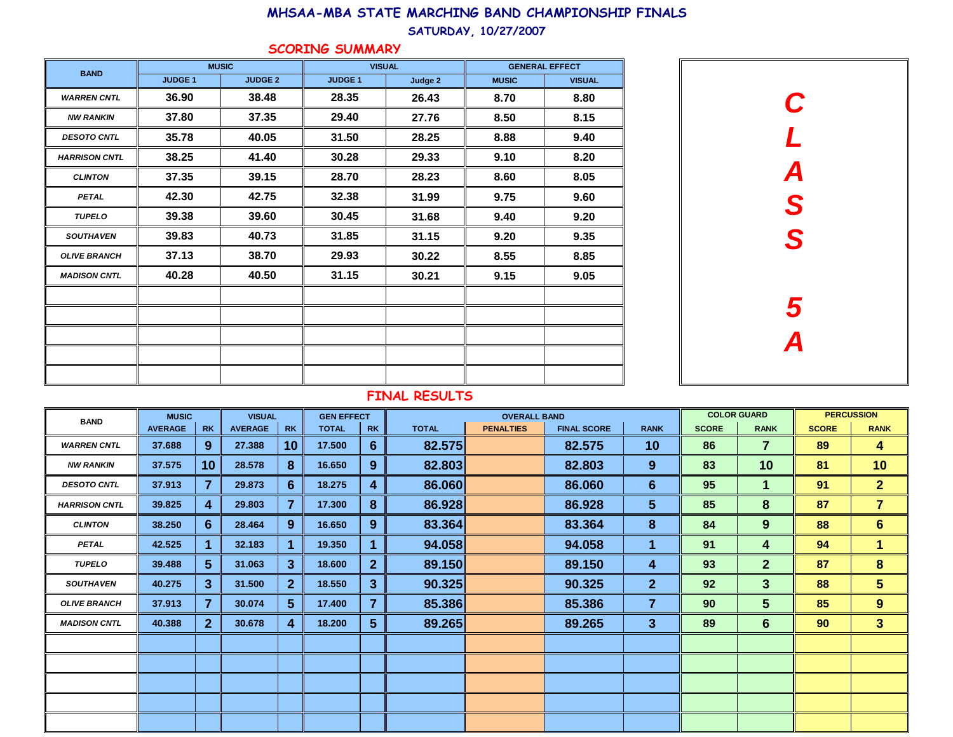#### SATURDAY, 10/27/2007

### SCORING SUMMARY

| <b>BAND</b>          |               | <b>MUSIC</b>   | <b>VISUAL</b> |         | <b>GENERAL EFFECT</b> |               |  |
|----------------------|---------------|----------------|---------------|---------|-----------------------|---------------|--|
|                      | <b>JUDGE1</b> | <b>JUDGE 2</b> | <b>JUDGE1</b> | Judge 2 | <b>MUSIC</b>          | <b>VISUAL</b> |  |
| <b>WARREN CNTL</b>   | 36.90         | 38.48          | 28.35         | 26.43   | 8.70                  | 8.80          |  |
| <b>NW RANKIN</b>     | 37.80         | 37.35          | 29.40         | 27.76   | 8.50                  | 8.15          |  |
| <b>DESOTO CNTL</b>   | 35.78         | 40.05          | 31.50         | 28.25   | 8.88                  | 9.40          |  |
| <b>HARRISON CNTL</b> | 38.25         | 41.40          | 30.28         | 29.33   | 9.10                  | 8.20          |  |
| <b>CLINTON</b>       | 37.35         | 39.15          | 28.70         | 28.23   | 8.60                  | 8.05          |  |
| <b>PETAL</b>         | 42.30         | 42.75          | 32.38         | 31.99   | 9.75                  | 9.60          |  |
| <b>TUPELO</b>        | 39.38         | 39.60          | 30.45         | 31.68   | 9.40                  | 9.20          |  |
| <b>SOUTHAVEN</b>     | 39.83         | 40.73          | 31.85         | 31.15   | 9.20                  | 9.35          |  |
| <b>OLIVE BRANCH</b>  | 37.13         | 38.70          | 29.93         | 30.22   | 8.55                  | 8.85          |  |
| <b>MADISON CNTL</b>  | 40.28         | 40.50          | 31.15         | 30.21   | 9.15                  | 9.05          |  |
|                      |               |                |               |         |                       |               |  |
|                      |               |                |               |         |                       |               |  |
|                      |               |                |               |         |                       |               |  |
|                      |               |                |               |         |                       |               |  |
|                      |               |                |               |         |                       |               |  |



| <b>BAND</b>          | <b>MUSIC</b>   |                 | <b>VISUAL</b>  |                | <b>GEN EFFECT</b> |                |              | <b>OVERALL BAND</b> |                    |                 |              | <b>COLOR GUARD</b> |              | <b>PERCUSSION</b> |  |
|----------------------|----------------|-----------------|----------------|----------------|-------------------|----------------|--------------|---------------------|--------------------|-----------------|--------------|--------------------|--------------|-------------------|--|
|                      | <b>AVERAGE</b> | <b>RK</b>       | <b>AVERAGE</b> | <b>RK</b>      | <b>TOTAL</b>      | <b>RK</b>      | <b>TOTAL</b> | <b>PENALTIES</b>    | <b>FINAL SCORE</b> | <b>RANK</b>     | <b>SCORE</b> | <b>RANK</b>        | <b>SCORE</b> | <b>RANK</b>       |  |
| <b>WARREN CNTL</b>   | 37.688         | 9               | 27.388         | 10             | 17.500            | 6              | 82.575       |                     | 82.575             | 10 <sup>°</sup> | 86           | $\overline{7}$     | 89           | 4                 |  |
| <b>NW RANKIN</b>     | 37.575         | 10 <sub>1</sub> | 28.578         | 8              | 16.650            | 9              | 82.803       |                     | 82.803             | 9               | 83           | 10                 | 81           | 10                |  |
| <b>DESOTO CNTL</b>   | 37.913         | $\overline{7}$  | 29.873         | 6              | 18.275            | 4              | 86.060       |                     | 86.060             | $6\phantom{1}6$ | 95           |                    | 91           | 2 <sup>1</sup>    |  |
| <b>HARRISON CNTL</b> | 39.825         | 4               | 29.803         |                | 17.300            | 8              | 86.928       |                     | 86.928             | 5 <sup>5</sup>  | 85           | 8                  | 87           | $\overline{7}$    |  |
| <b>CLINTON</b>       | 38.250         | 6 <sup>°</sup>  | 28.464         | 9              | 16.650            | 9              | 83.364       |                     | 83.364             | 8               | 84           | 9                  | 88           | 6 <sup>1</sup>    |  |
| <b>PETAL</b>         | 42.525         |                 | 32.183         |                | 19.350            |                | 94.058       |                     | 94.058             | 1               | 91           | 4                  | 94           | $\mathbf{1}$      |  |
| <b>TUPELO</b>        | 39.488         | 5 <sup>5</sup>  | 31.063         | 3              | 18.600            | $\overline{2}$ | 89.150       |                     | 89.150             | 4               | 93           | $\overline{2}$     | 87           | 8                 |  |
| <b>SOUTHAVEN</b>     | 40.275         | 3 <sup>5</sup>  | 31.500         | 2 <sup>1</sup> | 18.550            | 3 <sup>2</sup> | 90.325       |                     | 90.325             | 2 <sup>1</sup>  | 92           | 3                  | 88           | 5 <sup>5</sup>    |  |
| <b>OLIVE BRANCH</b>  | 37.913         | 7               | 30.074         | $5^{\circ}$    | 17.400            | 7              | 85.386       |                     | 85.386             | $\overline{7}$  | 90           | 5                  | 85           | 9                 |  |
| <b>MADISON CNTL</b>  | 40.388         | 2 <sup>2</sup>  | 30.678         | 4              | 18.200            | 5 <sup>5</sup> | 89.265       |                     | 89.265             | $\mathbf{3}$    | 89           | $6\phantom{1}$     | 90           | 3 <sup>2</sup>    |  |
|                      |                |                 |                |                |                   |                |              |                     |                    |                 |              |                    |              |                   |  |
|                      |                |                 |                |                |                   |                |              |                     |                    |                 |              |                    |              |                   |  |
|                      |                |                 |                |                |                   |                |              |                     |                    |                 |              |                    |              |                   |  |
|                      |                |                 |                |                |                   |                |              |                     |                    |                 |              |                    |              |                   |  |
|                      |                |                 |                |                |                   |                |              |                     |                    |                 |              |                    |              |                   |  |